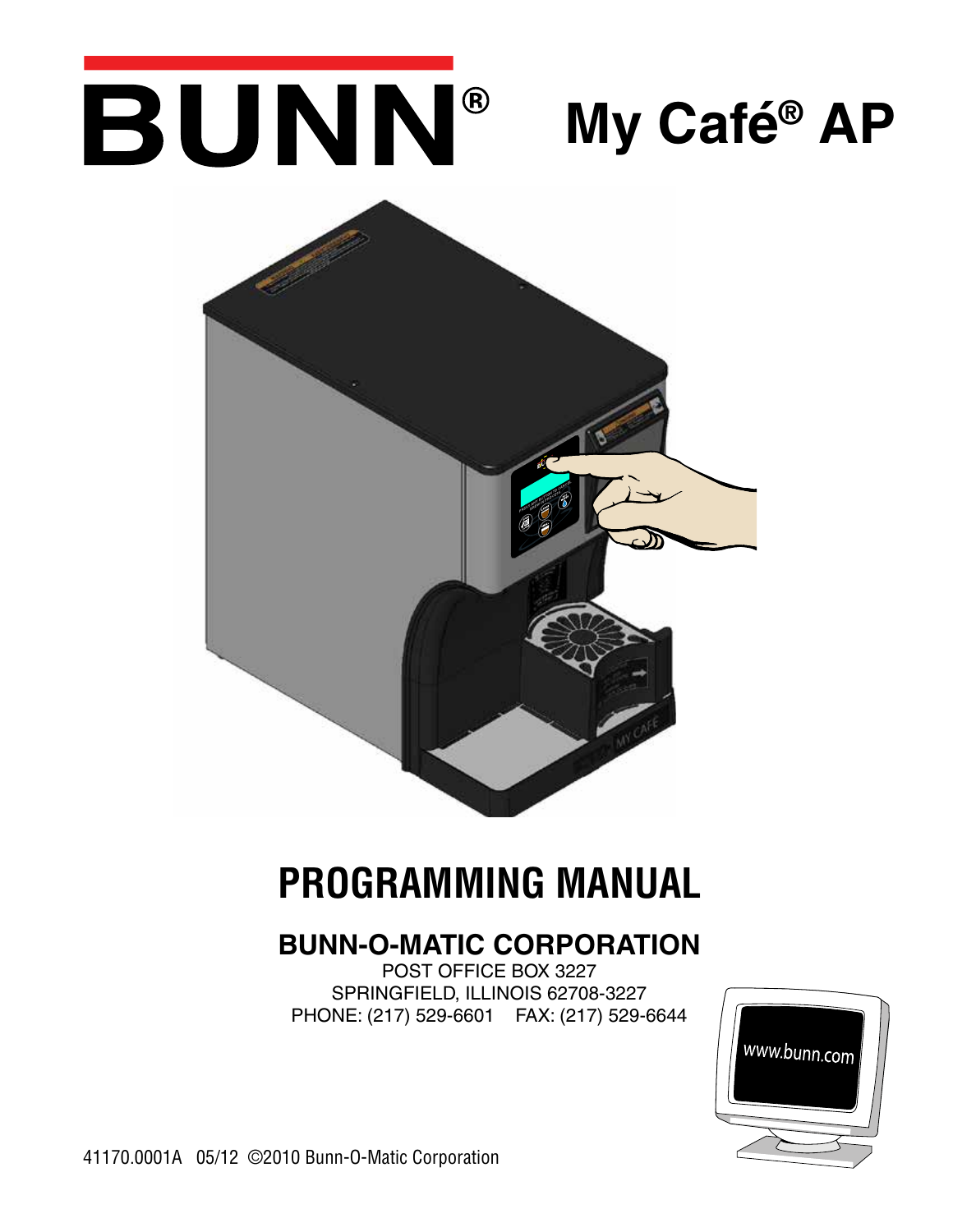# BUNN® **My Café® AP**



# **PROGRAMMING MANUAL**

# **BUNN-O-MATIC CORPORATION**

POST OFFICE BOX 3227 SPRINGFIELD, ILLINOIS 62708-3227 PHONE: (217) 529-6601 FAX: (217) 529-6644



41170.0001A 05/12 ©2010 Bunn-O-Matic Corporation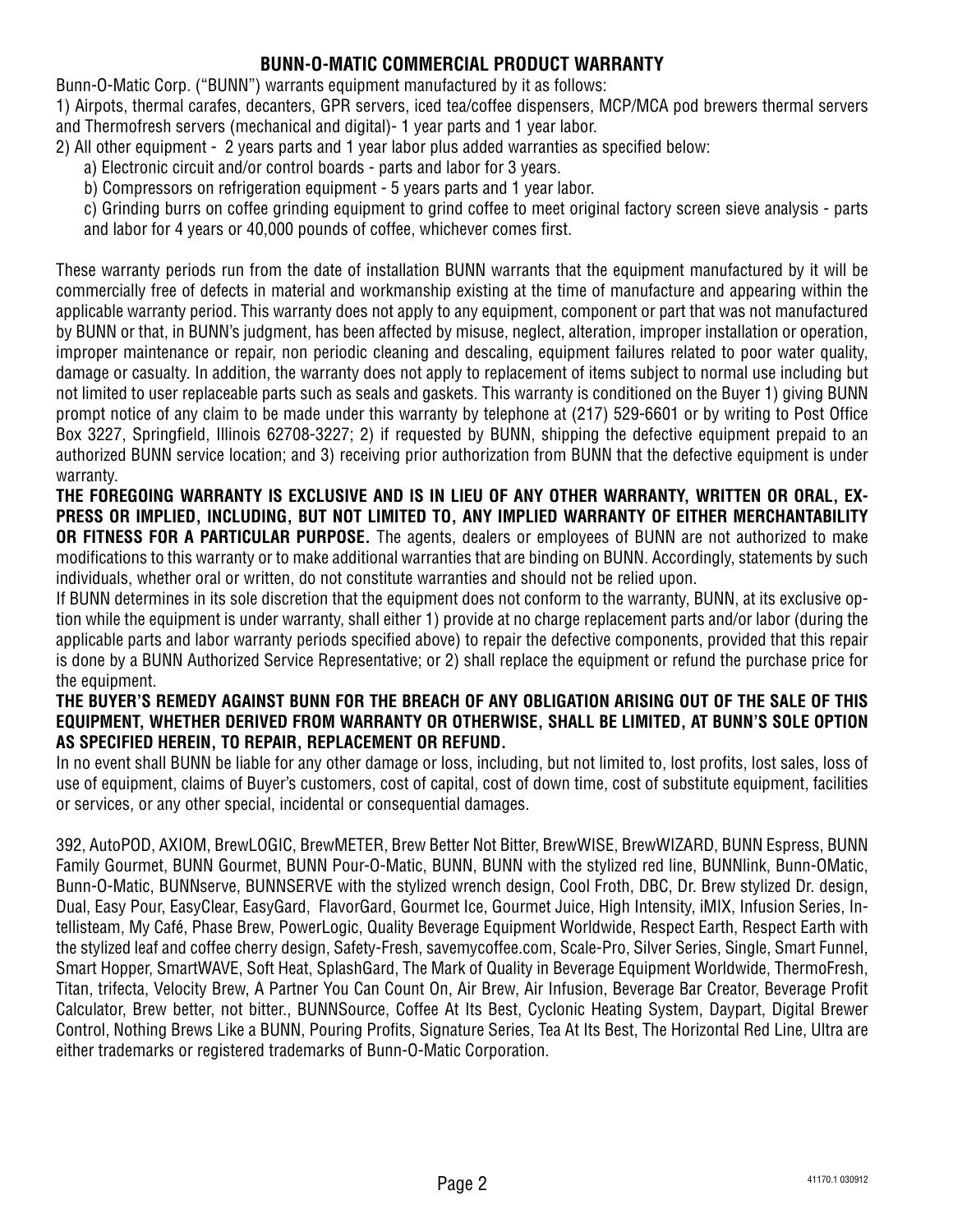#### **BUNN-O-MATIC COMMERCIAL PRODUCT WARRANTY**

Bunn-O-Matic Corp. ("BUNN") warrants equipment manufactured by it as follows:

1) Airpots, thermal carafes, decanters, GPR servers, iced tea/coffee dispensers, MCP/MCA pod brewers thermal servers and Thermofresh servers (mechanical and digital)- 1 year parts and 1 year labor.

- 2) All other equipment 2 years parts and 1 year labor plus added warranties as specified below:
	- a) Electronic circuit and/or control boards parts and labor for 3 years.
	- b) Compressors on refrigeration equipment 5 years parts and 1 year labor.
	- c) Grinding burrs on coffee grinding equipment to grind coffee to meet original factory screen sieve analysis parts and labor for 4 years or 40,000 pounds of coffee, whichever comes first.

These warranty periods run from the date of installation BUNN warrants that the equipment manufactured by it will be commercially free of defects in material and workmanship existing at the time of manufacture and appearing within the applicable warranty period. This warranty does not apply to any equipment, component or part that was not manufactured by BUNN or that, in BUNN's judgment, has been affected by misuse, neglect, alteration, improper installation or operation, improper maintenance or repair, non periodic cleaning and descaling, equipment failures related to poor water quality, damage or casualty. In addition, the warranty does not apply to replacement of items subject to normal use including but not limited to user replaceable parts such as seals and gaskets. This warranty is conditioned on the Buyer 1) giving BUNN prompt notice of any claim to be made under this warranty by telephone at (217) 529-6601 or by writing to Post Office Box 3227, Springfield, Illinois 62708-3227; 2) if requested by BUNN, shipping the defective equipment prepaid to an authorized BUNN service location; and 3) receiving prior authorization from BUNN that the defective equipment is under warranty.

**THE FOREGOING WARRANTY IS EXCLUSIVE AND IS IN LIEU OF ANY OTHER WARRANTY, WRITTEN OR ORAL, EX-PRESS OR IMPLIED, INCLUDING, BUT NOT LIMITED TO, ANY IMPLIED WARRANTY OF EITHER MERCHANTABILITY OR FITNESS FOR A PARTICULAR PURPOSE.** The agents, dealers or employees of BUNN are not authorized to make modifications to this warranty or to make additional warranties that are binding on BUNN. Accordingly, statements by such individuals, whether oral or written, do not constitute warranties and should not be relied upon.

If BUNN determines in its sole discretion that the equipment does not conform to the warranty, BUNN, at its exclusive option while the equipment is under warranty, shall either 1) provide at no charge replacement parts and/or labor (during the applicable parts and labor warranty periods specified above) to repair the defective components, provided that this repair is done by a BUNN Authorized Service Representative; or 2) shall replace the equipment or refund the purchase price for the equipment.

#### **THE BUYER'S REMEDY AGAINST BUNN FOR THE BREACH OF ANY OBLIGATION ARISING OUT OF THE SALE OF THIS EQUIPMENT, WHETHER DERIVED FROM WARRANTY OR OTHERWISE, SHALL BE LIMITED, AT BUNN'S SOLE OPTION AS SPECIFIED HEREIN, TO REPAIR, REPLACEMENT OR REFUND.**

In no event shall BUNN be liable for any other damage or loss, including, but not limited to, lost profits, lost sales, loss of use of equipment, claims of Buyer's customers, cost of capital, cost of down time, cost of substitute equipment, facilities or services, or any other special, incidental or consequential damages.

392, AutoPOD, AXIOM, BrewLOGIC, BrewMETER, Brew Better Not Bitter, BrewWISE, BrewWIZARD, BUNN Espress, BUNN Family Gourmet, BUNN Gourmet, BUNN Pour-O-Matic, BUNN, BUNN with the stylized red line, BUNNlink, Bunn-OMatic, Bunn-O-Matic, BUNNserve, BUNNSERVE with the stylized wrench design, Cool Froth, DBC, Dr. Brew stylized Dr. design, Dual, Easy Pour, EasyClear, EasyGard, FlavorGard, Gourmet Ice, Gourmet Juice, High Intensity, iMIX, Infusion Series, Intellisteam, My Café, Phase Brew, PowerLogic, Quality Beverage Equipment Worldwide, Respect Earth, Respect Earth with the stylized leaf and coffee cherry design, Safety-Fresh, savemycoffee.com, Scale-Pro, Silver Series, Single, Smart Funnel, Smart Hopper, SmartWAVE, Soft Heat, SplashGard, The Mark of Quality in Beverage Equipment Worldwide, ThermoFresh, Titan, trifecta, Velocity Brew, A Partner You Can Count On, Air Brew, Air Infusion, Beverage Bar Creator, Beverage Profit Calculator, Brew better, not bitter., BUNNSource, Coffee At Its Best, Cyclonic Heating System, Daypart, Digital Brewer Control, Nothing Brews Like a BUNN, Pouring Profits, Signature Series, Tea At Its Best, The Horizontal Red Line, Ultra are either trademarks or registered trademarks of Bunn-O-Matic Corporation.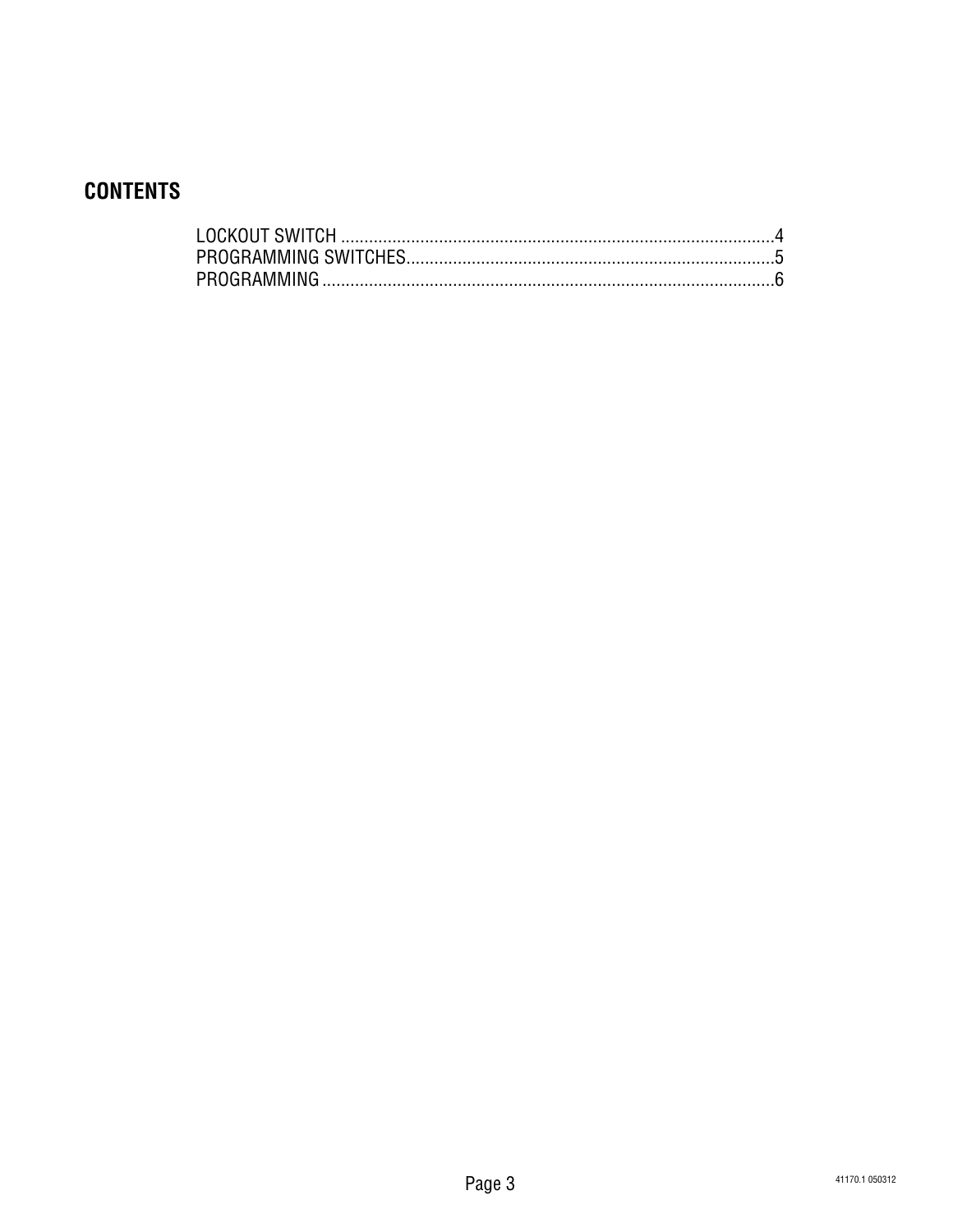# **CONTENTS**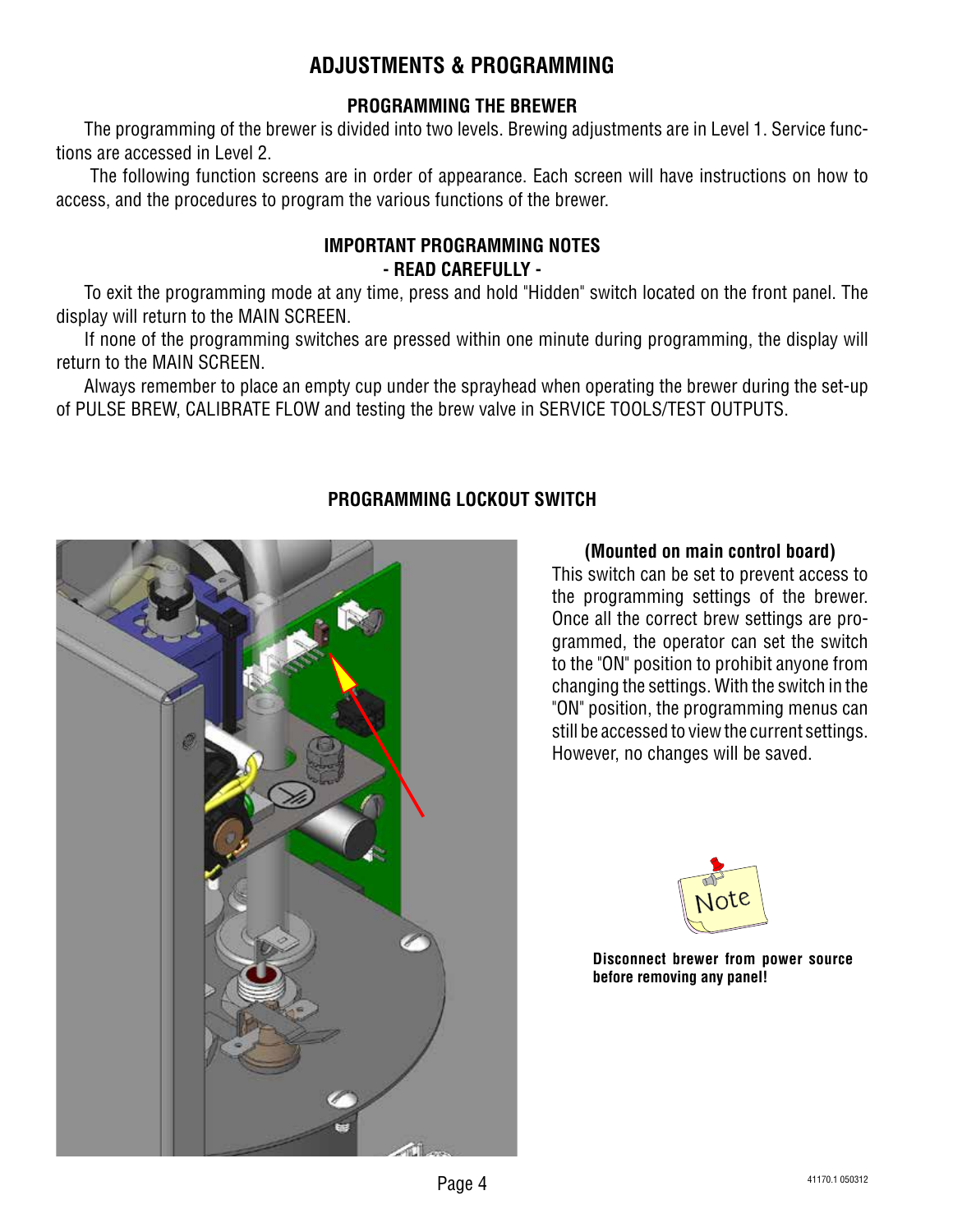# **ADJUSTMENTS & PROGRAMMING**

#### **PROGRAMMING THE BREWER**

The programming of the brewer is divided into two levels. Brewing adjustments are in Level 1. Service functions are accessed in Level 2.

 The following function screens are in order of appearance. Each screen will have instructions on how to access, and the procedures to program the various functions of the brewer.

#### **IMPORTANT PROGRAMMING NOTES - READ CAREFULLY -**

To exit the programming mode at any time, press and hold "Hidden" switch located on the front panel. The display will return to the MAIN SCREEN.

If none of the programming switches are pressed within one minute during programming, the display will return to the MAIN SCREEN.

Always remember to place an empty cup under the sprayhead when operating the brewer during the set-up of PULSE BREW, CALIBRATE FLOW and testing the brew valve in SERVICE TOOLS/TEST OUTPUTS.



#### **PROGRAMMING LOCKOUT SWITCH**

#### **(Mounted on main control board)**

This switch can be set to prevent access to the programming settings of the brewer. Once all the correct brew settings are programmed, the operator can set the switch to the "ON" position to prohibit anyone from changing the settings. With the switch in the "ON" position, the programming menus can still be accessed to view the current settings. However, no changes will be saved.



**Disconnect brewer from power source before removing any panel!**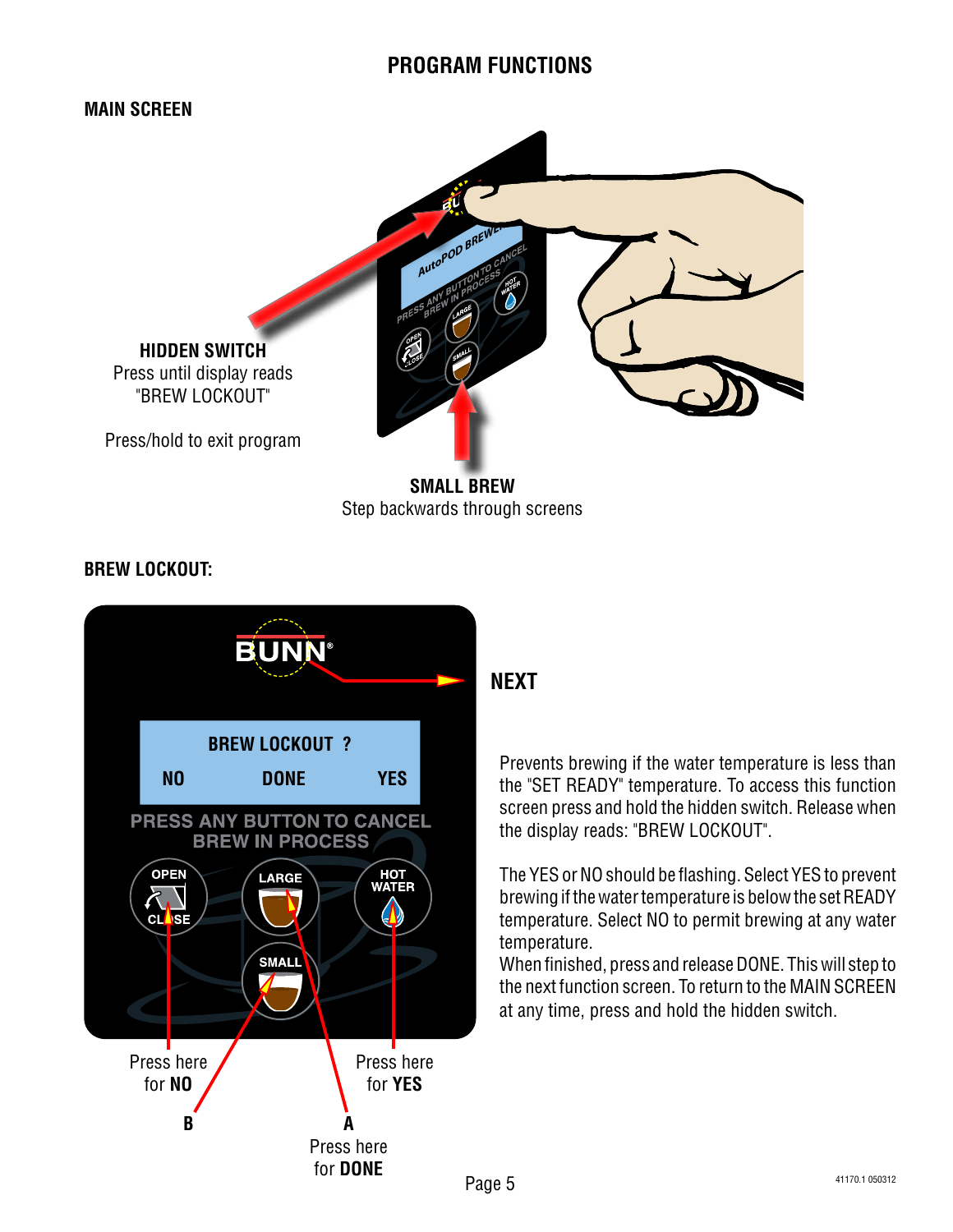

**BREW LOCKOUT:**



**NEXT**

Prevents brewing if the water temperature is less than the "SET READY" temperature. To access this function screen press and hold the hidden switch. Release when the display reads: "BREW LOCKOUT".

The YES or NO should be flashing. Select YES to prevent brewing if the water temperature is below the set READY temperature. Select NO to permit brewing at any water temperature.

When finished, press and release DONE. This will step to the next function screen. To return to the MAIN SCREEN at any time, press and hold the hidden switch.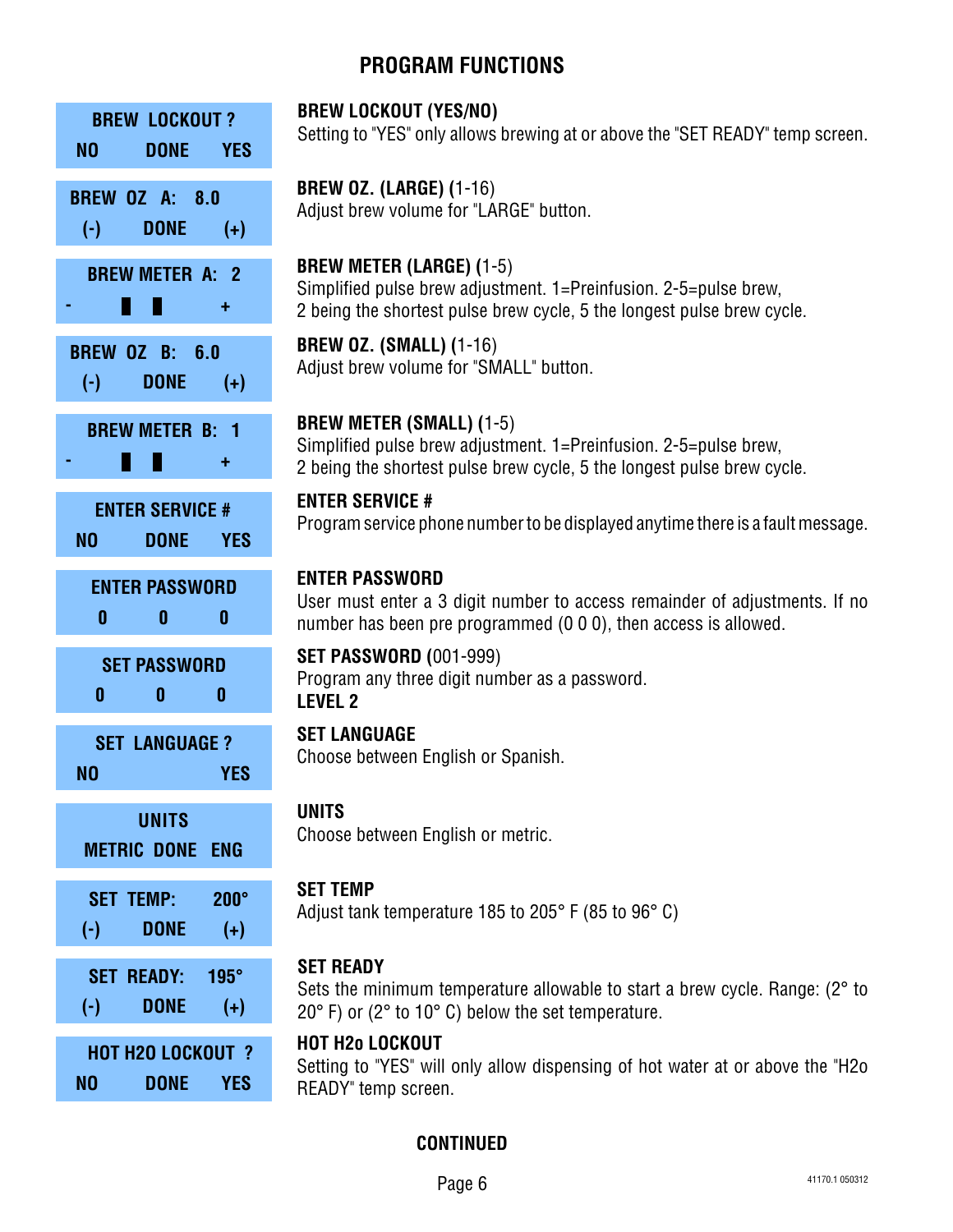| <b>BREW LOCKOUT?</b><br>N <sub>0</sub><br><b>DONE</b><br><b>YES</b>     | <b>BREW LOCKOUT (YES/NO)</b><br>Setting to "YES" only allows brewing at or above the "SET READY" temp screen.                                                                      |
|-------------------------------------------------------------------------|------------------------------------------------------------------------------------------------------------------------------------------------------------------------------------|
| <b>BREW OZ A: 8.0</b><br><b>DONE</b><br>$(\cdot)$<br>$(+)$              | <b>BREW OZ. (LARGE) (1-16)</b><br>Adjust brew volume for "LARGE" button.                                                                                                           |
| <b>BREW METER A: 2</b><br>÷,                                            | <b>BREW METER (LARGE) (1-5)</b><br>Simplified pulse brew adjustment. 1=Preinfusion. 2-5=pulse brew,<br>2 being the shortest pulse brew cycle, 5 the longest pulse brew cycle.      |
| <b>BREW OZ B: 6.0</b><br><b>DONE</b><br>$(\cdot)$<br>$(+)$              | <b>BREW OZ. (SMALL) (1-16)</b><br>Adjust brew volume for "SMALL" button.                                                                                                           |
| <b>BREW METER B: 1</b><br>W<br>٠                                        | <b>BREW METER (SMALL) (1-5)</b><br>Simplified pulse brew adjustment. 1=Preinfusion. 2-5=pulse brew,<br>2 being the shortest pulse brew cycle, 5 the longest pulse brew cycle.      |
| <b>ENTER SERVICE #</b><br>NO<br><b>DONE</b><br><b>YES</b>               | <b>ENTER SERVICE #</b><br>Program service phone number to be displayed anytime there is a fault message.                                                                           |
| <b>ENTER PASSWORD</b><br>0<br>0<br>$\boldsymbol{0}$                     | <b>ENTER PASSWORD</b><br>User must enter a 3 digit number to access remainder of adjustments. If no<br>number has been pre programmed (0 0 0), then access is allowed.             |
| <b>SET PASSWORD</b><br>$\mathbf{0}$<br>$\mathbf{0}$<br>$\boldsymbol{0}$ | <b>SET PASSWORD (001-999)</b><br>Program any three digit number as a password.<br><b>LEVEL 2</b>                                                                                   |
| <b>SET LANGUAGE?</b><br>N <sub>0</sub><br><b>YES</b>                    | <b>SET LANGUAGE</b><br>Choose between English or Spanish.                                                                                                                          |
| <b>UNITS</b><br><b>METRIC DONE ENG</b>                                  | <b>UNITS</b><br>Choose between English or metric.                                                                                                                                  |
| <b>SET TEMP:</b><br>$200^\circ$<br><b>DONE</b><br>$(+)$<br>$(\cdot)$    | <b>SET TEMP</b><br>Adjust tank temperature 185 to 205° F (85 to 96° C)                                                                                                             |
| $195^\circ$<br><b>SET READY:</b><br><b>DONE</b><br>$(\cdot)$<br>$(+)$   | <b>SET READY</b><br>Sets the minimum temperature allowable to start a brew cycle. Range: (2° to<br>$20^{\circ}$ F) or (2 $^{\circ}$ to 10 $^{\circ}$ C) below the set temperature. |
| <b>HOT H2O LOCKOUT ?</b><br>N <sub>0</sub><br><b>DONE</b><br><b>YES</b> | <b>HOT H2o LOCKOUT</b><br>Setting to "YES" will only allow dispensing of hot water at or above the "H2o<br>READY" temp screen.                                                     |

#### imum temperature allowable to start a brew cycle. Range: (2° to to  $10^{\circ}$  C) below the set temperature.

#### **CKOUT**

ES" will only allow dispensing of hot water at or above the "H2o p screen.

#### **CONTINUED**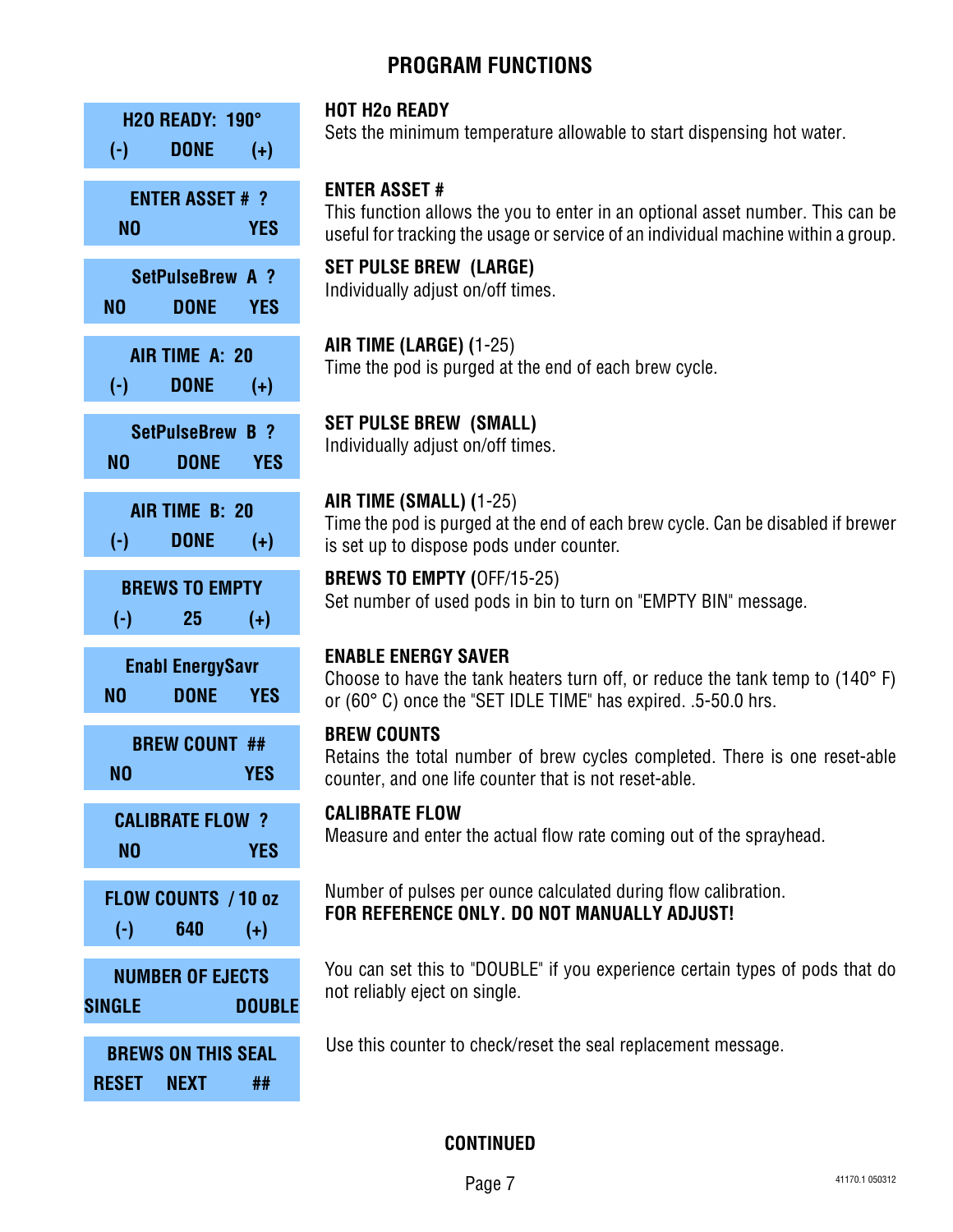

#### **HOT H2o READY**

Sets the minimum temperature allowable to start dispensing hot water.

#### **ENTER ASSET #**

This function allows the you to enter in an optional asset number. This can be useful for tracking the usage or service of an individual machine within a group.

**SET PULSE BREW (LARGE)** Individually adjust on/off times.

**AIR TIME (LARGE) (**1-25) Time the pod is purged at the end of each brew cycle.

**SET PULSE BREW (SMALL)** Individually adjust on/off times.

**AIR TIME (SMALL) (**1-25) Time the pod is purged at the end of each brew cycle. Can be disabled if brewer

is set up to dispose pods under counter.

**BREWS TO EMPTY (**OFF/15-25) Set number of used pods in bin to turn on "EMPTY BIN" message.

#### **ENABLE ENERGY SAVER**

Choose to have the tank heaters turn off, or reduce the tank temp to (140° F) or (60° C) once the "SET IDLE TIME" has expired. .5-50.0 hrs.

#### **BREW COUNTS**

Retains the total number of brew cycles completed. There is one reset-able counter, and one life counter that is not reset-able.

#### **CALIBRATE FLOW**

Measure and enter the actual flow rate coming out of the sprayhead.

Number of pulses per ounce calculated during flow calibration. **FLOW COUNTS** / 10 oz<br>**FOR REFERENCE ONLY. DO NOT MANUALLY ADJUST!**<br>(-) 640 (+)

> You can set this to "DOUBLE" if you experience certain types of pods that do not reliably eject on single.

**BREWS ON THIS SEAL** Use this counter to check/reset the seal replacement message.

**CONTINUED**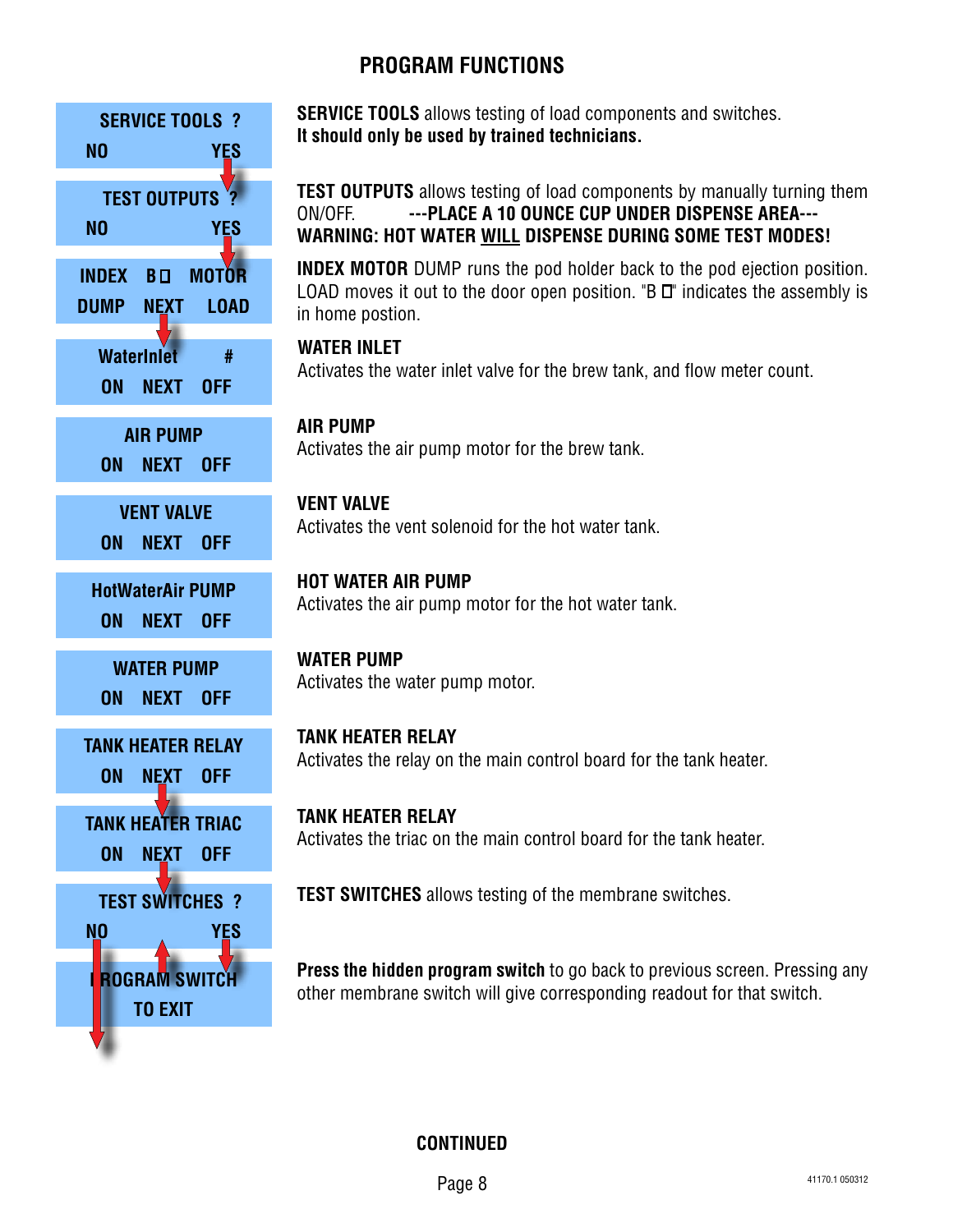

**SERVICE TOOLS** allows testing of load components and switches. **It should only be used by trained technicians.**

**TEST OUTPUTS** allows testing of load components by manually turning them ON/OFF. **---PLACE A 10 OUNCE CUP UNDER DISPENSE AREA--- WARNING: HOT WATER WILL DISPENSE DURING SOME TEST MODES!**

**INDEX MOTOR** DUMP runs the pod holder back to the pod ejection position. LOAD moves it out to the door open position. "B  $\Box$ " indicates the assembly is in home postion.

**WATER INLET** Activates the water inlet valve for the brew tank, and flow meter count. **WaterInIet #**

**AIR PUMP** ALTER **AIR PUMP**<br>Activates the air pump motor for the brew tank.

**VENT VALVE** Activates the vent solenoid for the hot water tank. **VENT VALVE**

**HOT WATER AIR PUMP** Activates the air pump motor for the hot water tank. **HotWaterAir PUMP**

**WATER PUMP** Activates the water pump motor. **WATER PUMP**

**TANK HEATER RELAY** Activates the relay on the main control board for the tank heater. **TANK HEATER RELAY**

> **TANK HEATER RELAY** Activates the triac on the main control board for the tank heater.

**TEST SWITCHES** ? **TEST SWITCHES** allows testing of the membrane switches.

**Press the hidden program switch** to go back to previous screen. Pressing any **FIGURAM SWITCH** FIGSS WE MUUGH PLUGIAM SWILL TO GO BACK TO PIGNOUS SCIGGIT. PRESSITE TO OTHER MILL OF THE SWITCH

**CONTINUED**